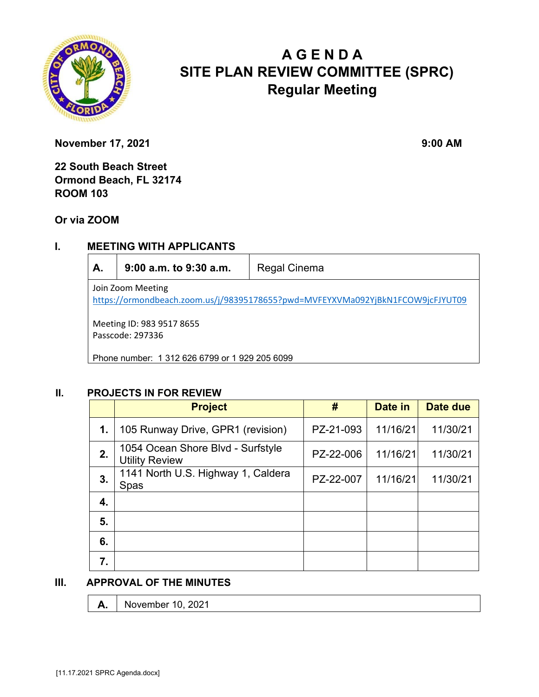

# **A G E N D A SITE PLAN REVIEW COMMITTEE (SPRC) Regular Meeting**

**November 17, 2021** 9:00 AM

**22 South Beach Street Ormond Beach, FL 32174 ROOM 103** 

**Or via ZOOM**

## **I. MEETING WITH APPLICANTS**

| A. | 9:00 a.m. to 9:30 a.m. | Regal Cinema |
|----|------------------------|--------------|
|----|------------------------|--------------|

Join Zoom Meeting https://ormondbeach.zoom.us/j/98395178655?pwd=MVFEYXVMa092YjBkN1FCOW9jcFJYUT09

Meeting ID: 983 9517 8655 Passcode: 297336

Phone number: 1 312 626 6799 or 1 929 205 6099

#### **II. PROJECTS IN FOR REVIEW**

|    | <b>Project</b>                                             | #         | Date in  | Date due |
|----|------------------------------------------------------------|-----------|----------|----------|
| 1. | 105 Runway Drive, GPR1 (revision)                          | PZ-21-093 | 11/16/21 | 11/30/21 |
| 2. | 1054 Ocean Shore Blvd - Surfstyle<br><b>Utility Review</b> | PZ-22-006 | 11/16/21 | 11/30/21 |
| 3. | 1141 North U.S. Highway 1, Caldera<br>Spas                 | PZ-22-007 | 11/16/21 | 11/30/21 |
| 4. |                                                            |           |          |          |
| 5. |                                                            |           |          |          |
| 6. |                                                            |           |          |          |
| 7. |                                                            |           |          |          |

#### **III. APPROVAL OF THE MINUTES**

**A.** November 10, 2021

[11.17.2021 SPRC Agenda.docx]